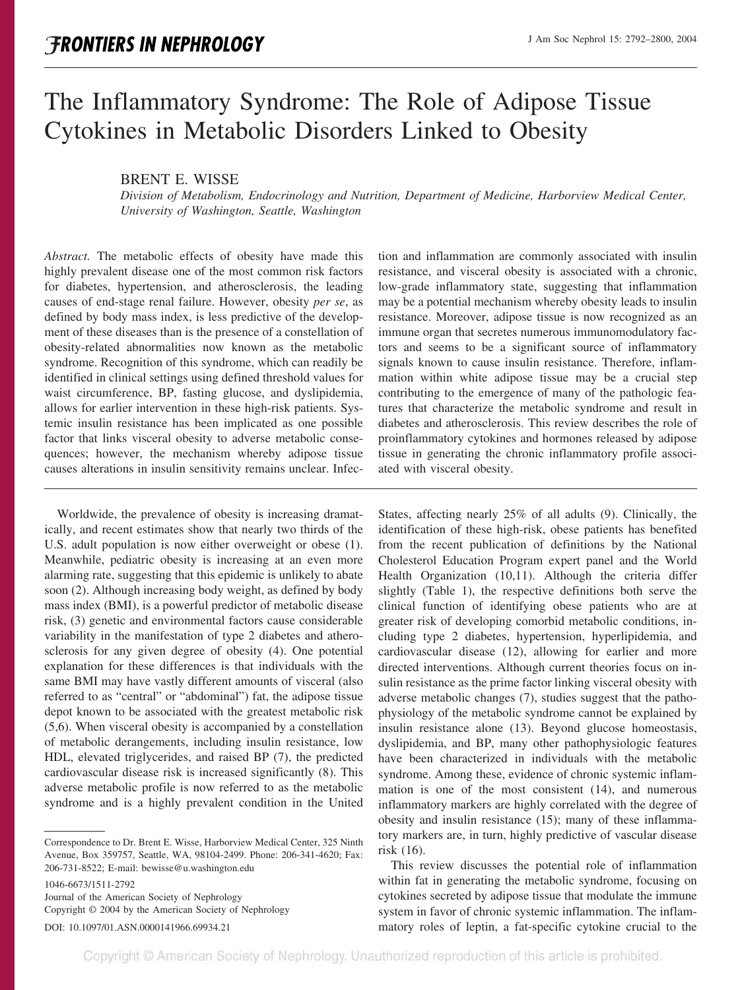# The Inflammatory Syndrome: The Role of Adipose Tissue Cytokines in Metabolic Disorders Linked to Obesity

## BRENT E. WISSE

*Division of Metabolism, Endocrinology and Nutrition, Department of Medicine, Harborview Medical Center, University of Washington, Seattle, Washington*

*Abstract.* The metabolic effects of obesity have made this highly prevalent disease one of the most common risk factors for diabetes, hypertension, and atherosclerosis, the leading causes of end-stage renal failure. However, obesity *per se*, as defined by body mass index, is less predictive of the development of these diseases than is the presence of a constellation of obesity-related abnormalities now known as the metabolic syndrome. Recognition of this syndrome, which can readily be identified in clinical settings using defined threshold values for waist circumference, BP, fasting glucose, and dyslipidemia, allows for earlier intervention in these high-risk patients. Systemic insulin resistance has been implicated as one possible factor that links visceral obesity to adverse metabolic consequences; however, the mechanism whereby adipose tissue causes alterations in insulin sensitivity remains unclear. Infec-

Worldwide, the prevalence of obesity is increasing dramatically, and recent estimates show that nearly two thirds of the U.S. adult population is now either overweight or obese (1). Meanwhile, pediatric obesity is increasing at an even more alarming rate, suggesting that this epidemic is unlikely to abate soon (2). Although increasing body weight, as defined by body mass index (BMI), is a powerful predictor of metabolic disease risk, (3) genetic and environmental factors cause considerable variability in the manifestation of type 2 diabetes and atherosclerosis for any given degree of obesity (4). One potential explanation for these differences is that individuals with the same BMI may have vastly different amounts of visceral (also referred to as "central" or "abdominal") fat, the adipose tissue depot known to be associated with the greatest metabolic risk (5,6). When visceral obesity is accompanied by a constellation of metabolic derangements, including insulin resistance, low HDL, elevated triglycerides, and raised BP (7), the predicted cardiovascular disease risk is increased significantly (8). This adverse metabolic profile is now referred to as the metabolic syndrome and is a highly prevalent condition in the United

1046-6673/1511-2792 Journal of the American Society of Nephrology Copyright © 2004 by the American Society of Nephrology DOI: 10.1097/01.ASN.0000141966.69934.21

tion and inflammation are commonly associated with insulin resistance, and visceral obesity is associated with a chronic, low-grade inflammatory state, suggesting that inflammation may be a potential mechanism whereby obesity leads to insulin resistance. Moreover, adipose tissue is now recognized as an immune organ that secretes numerous immunomodulatory factors and seems to be a significant source of inflammatory signals known to cause insulin resistance. Therefore, inflammation within white adipose tissue may be a crucial step contributing to the emergence of many of the pathologic features that characterize the metabolic syndrome and result in diabetes and atherosclerosis. This review describes the role of proinflammatory cytokines and hormones released by adipose tissue in generating the chronic inflammatory profile associated with visceral obesity.

States, affecting nearly 25% of all adults (9). Clinically, the identification of these high-risk, obese patients has benefited from the recent publication of definitions by the National Cholesterol Education Program expert panel and the World Health Organization (10,11). Although the criteria differ slightly (Table 1), the respective definitions both serve the clinical function of identifying obese patients who are at greater risk of developing comorbid metabolic conditions, including type 2 diabetes, hypertension, hyperlipidemia, and cardiovascular disease (12), allowing for earlier and more directed interventions. Although current theories focus on insulin resistance as the prime factor linking visceral obesity with adverse metabolic changes (7), studies suggest that the pathophysiology of the metabolic syndrome cannot be explained by insulin resistance alone (13). Beyond glucose homeostasis, dyslipidemia, and BP, many other pathophysiologic features have been characterized in individuals with the metabolic syndrome. Among these, evidence of chronic systemic inflammation is one of the most consistent (14), and numerous inflammatory markers are highly correlated with the degree of obesity and insulin resistance (15); many of these inflammatory markers are, in turn, highly predictive of vascular disease risk (16).

This review discusses the potential role of inflammation within fat in generating the metabolic syndrome, focusing on cytokines secreted by adipose tissue that modulate the immune system in favor of chronic systemic inflammation. The inflammatory roles of leptin, a fat-specific cytokine crucial to the

Correspondence to Dr. Brent E. Wisse, Harborview Medical Center, 325 Ninth Avenue, Box 359757, Seattle, WA, 98104-2499. Phone: 206-341-4620; Fax: 206-731-8522; E-mail: bewisse@u.washington.edu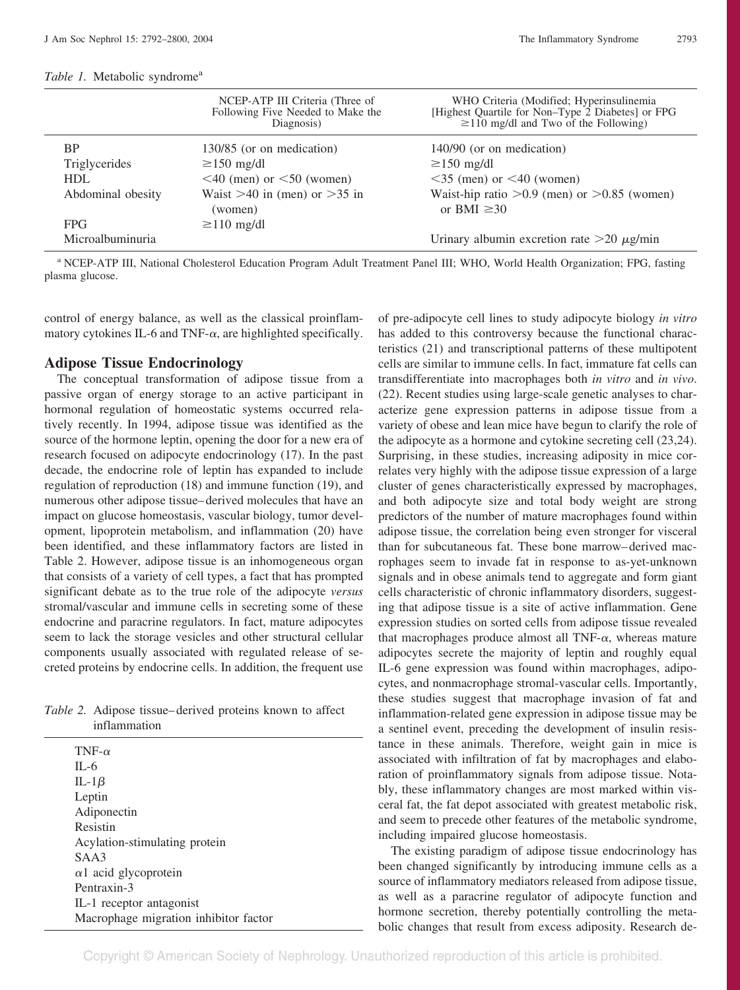## *Table 1.* Metabolic syndrome<sup>a</sup>

|                   | NCEP-ATP III Criteria (Three of<br>Following Five Needed to Make the<br>Diagnosis) | WHO Criteria (Modified; Hyperinsulinemia<br>[Highest Quartile for Non-Type 2 Diabetes] or FPG<br>$\geq$ 110 mg/dl and Two of the Following) |
|-------------------|------------------------------------------------------------------------------------|---------------------------------------------------------------------------------------------------------------------------------------------|
| <b>BP</b>         | 130/85 (or on medication)                                                          | 140/90 (or on medication)                                                                                                                   |
| Triglycerides     | $\geq$ 150 mg/dl                                                                   | $\geq$ 150 mg/dl                                                                                                                            |
| <b>HDL</b>        | $\leq$ 40 (men) or $\leq$ 50 (women)                                               | $\leq$ 35 (men) or $\leq$ 40 (women)                                                                                                        |
| Abdominal obesity | Waist $>40$ in (men) or $>35$ in<br>(women)                                        | Waist-hip ratio $>0.9$ (men) or $>0.85$ (women)<br>or BMI $\geq 30$                                                                         |
| <b>FPG</b>        | $\geq$ 110 mg/dl                                                                   |                                                                                                                                             |
| Microalbuminuria  |                                                                                    | Urinary albumin excretion rate $>20 \mu g/min$                                                                                              |

<sup>a</sup> NCEP-ATP III, National Cholesterol Education Program Adult Treatment Panel III; WHO, World Health Organization; FPG, fasting plasma glucose.

control of energy balance, as well as the classical proinflammatory cytokines IL-6 and TNF- $\alpha$ , are highlighted specifically.

#### **Adipose Tissue Endocrinology**

The conceptual transformation of adipose tissue from a passive organ of energy storage to an active participant in hormonal regulation of homeostatic systems occurred relatively recently. In 1994, adipose tissue was identified as the source of the hormone leptin, opening the door for a new era of research focused on adipocyte endocrinology (17). In the past decade, the endocrine role of leptin has expanded to include regulation of reproduction (18) and immune function (19), and numerous other adipose tissue– derived molecules that have an impact on glucose homeostasis, vascular biology, tumor development, lipoprotein metabolism, and inflammation (20) have been identified, and these inflammatory factors are listed in Table 2. However, adipose tissue is an inhomogeneous organ that consists of a variety of cell types, a fact that has prompted significant debate as to the true role of the adipocyte *versus* stromal/vascular and immune cells in secreting some of these endocrine and paracrine regulators. In fact, mature adipocytes seem to lack the storage vesicles and other structural cellular components usually associated with regulated release of secreted proteins by endocrine cells. In addition, the frequent use

| Table 2. Adipose tissue–derived proteins known to affect |  |
|----------------------------------------------------------|--|
| inflammation                                             |  |

TNF- $\alpha$ IL-6 IL-1 $\beta$ Leptin Adiponectin Resistin Acylation-stimulating protein SAA3  $\alpha$ 1 acid glycoprotein Pentraxin-3 IL-1 receptor antagonist Macrophage migration inhibitor factor of pre-adipocyte cell lines to study adipocyte biology *in vitro* has added to this controversy because the functional characteristics (21) and transcriptional patterns of these multipotent cells are similar to immune cells. In fact, immature fat cells can transdifferentiate into macrophages both *in vitro* and *in vivo*. (22). Recent studies using large-scale genetic analyses to characterize gene expression patterns in adipose tissue from a variety of obese and lean mice have begun to clarify the role of the adipocyte as a hormone and cytokine secreting cell (23,24). Surprising, in these studies, increasing adiposity in mice correlates very highly with the adipose tissue expression of a large cluster of genes characteristically expressed by macrophages, and both adipocyte size and total body weight are strong predictors of the number of mature macrophages found within adipose tissue, the correlation being even stronger for visceral than for subcutaneous fat. These bone marrow– derived macrophages seem to invade fat in response to as-yet-unknown signals and in obese animals tend to aggregate and form giant cells characteristic of chronic inflammatory disorders, suggesting that adipose tissue is a site of active inflammation. Gene expression studies on sorted cells from adipose tissue revealed that macrophages produce almost all TNF- $\alpha$ , whereas mature adipocytes secrete the majority of leptin and roughly equal IL-6 gene expression was found within macrophages, adipocytes, and nonmacrophage stromal-vascular cells. Importantly, these studies suggest that macrophage invasion of fat and inflammation-related gene expression in adipose tissue may be a sentinel event, preceding the development of insulin resistance in these animals. Therefore, weight gain in mice is associated with infiltration of fat by macrophages and elaboration of proinflammatory signals from adipose tissue. Notably, these inflammatory changes are most marked within visceral fat, the fat depot associated with greatest metabolic risk, and seem to precede other features of the metabolic syndrome, including impaired glucose homeostasis.

The existing paradigm of adipose tissue endocrinology has been changed significantly by introducing immune cells as a source of inflammatory mediators released from adipose tissue, as well as a paracrine regulator of adipocyte function and hormone secretion, thereby potentially controlling the metabolic changes that result from excess adiposity. Research de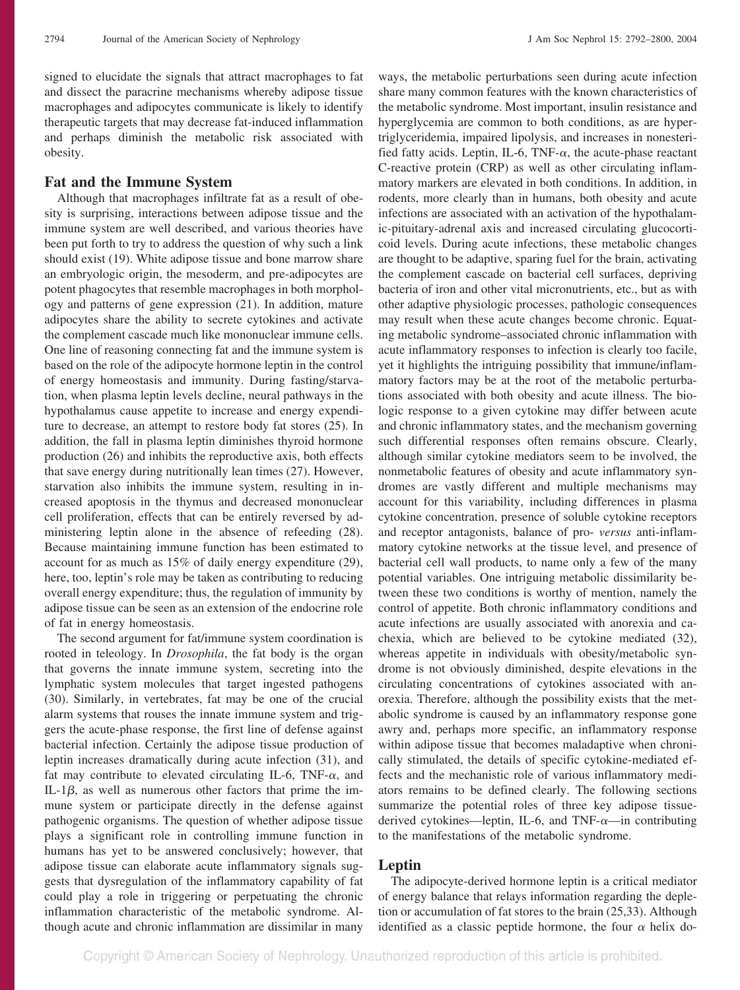signed to elucidate the signals that attract macrophages to fat and dissect the paracrine mechanisms whereby adipose tissue macrophages and adipocytes communicate is likely to identify therapeutic targets that may decrease fat-induced inflammation and perhaps diminish the metabolic risk associated with obesity.

#### **Fat and the Immune System**

Although that macrophages infiltrate fat as a result of obesity is surprising, interactions between adipose tissue and the immune system are well described, and various theories have been put forth to try to address the question of why such a link should exist (19). White adipose tissue and bone marrow share an embryologic origin, the mesoderm, and pre-adipocytes are potent phagocytes that resemble macrophages in both morphology and patterns of gene expression (21). In addition, mature adipocytes share the ability to secrete cytokines and activate the complement cascade much like mononuclear immune cells. One line of reasoning connecting fat and the immune system is based on the role of the adipocyte hormone leptin in the control of energy homeostasis and immunity. During fasting/starvation, when plasma leptin levels decline, neural pathways in the hypothalamus cause appetite to increase and energy expenditure to decrease, an attempt to restore body fat stores (25). In addition, the fall in plasma leptin diminishes thyroid hormone production (26) and inhibits the reproductive axis, both effects that save energy during nutritionally lean times (27). However, starvation also inhibits the immune system, resulting in increased apoptosis in the thymus and decreased mononuclear cell proliferation, effects that can be entirely reversed by administering leptin alone in the absence of refeeding (28). Because maintaining immune function has been estimated to account for as much as 15% of daily energy expenditure (29), here, too, leptin's role may be taken as contributing to reducing overall energy expenditure; thus, the regulation of immunity by adipose tissue can be seen as an extension of the endocrine role of fat in energy homeostasis.

The second argument for fat/immune system coordination is rooted in teleology. In *Drosophila*, the fat body is the organ that governs the innate immune system, secreting into the lymphatic system molecules that target ingested pathogens (30). Similarly, in vertebrates, fat may be one of the crucial alarm systems that rouses the innate immune system and triggers the acute-phase response, the first line of defense against bacterial infection. Certainly the adipose tissue production of leptin increases dramatically during acute infection (31), and fat may contribute to elevated circulating IL-6, TNF- $\alpha$ , and IL-1 $\beta$ , as well as numerous other factors that prime the immune system or participate directly in the defense against pathogenic organisms. The question of whether adipose tissue plays a significant role in controlling immune function in humans has yet to be answered conclusively; however, that adipose tissue can elaborate acute inflammatory signals suggests that dysregulation of the inflammatory capability of fat could play a role in triggering or perpetuating the chronic inflammation characteristic of the metabolic syndrome. Although acute and chronic inflammation are dissimilar in many

ways, the metabolic perturbations seen during acute infection share many common features with the known characteristics of the metabolic syndrome. Most important, insulin resistance and hyperglycemia are common to both conditions, as are hypertriglyceridemia, impaired lipolysis, and increases in nonesterified fatty acids. Leptin, IL-6, TNF- $\alpha$ , the acute-phase reactant C-reactive protein (CRP) as well as other circulating inflammatory markers are elevated in both conditions. In addition, in rodents, more clearly than in humans, both obesity and acute infections are associated with an activation of the hypothalamic-pituitary-adrenal axis and increased circulating glucocorticoid levels. During acute infections, these metabolic changes are thought to be adaptive, sparing fuel for the brain, activating the complement cascade on bacterial cell surfaces, depriving bacteria of iron and other vital micronutrients, etc., but as with other adaptive physiologic processes, pathologic consequences may result when these acute changes become chronic. Equating metabolic syndrome–associated chronic inflammation with acute inflammatory responses to infection is clearly too facile, yet it highlights the intriguing possibility that immune/inflammatory factors may be at the root of the metabolic perturbations associated with both obesity and acute illness. The biologic response to a given cytokine may differ between acute and chronic inflammatory states, and the mechanism governing such differential responses often remains obscure. Clearly, although similar cytokine mediators seem to be involved, the nonmetabolic features of obesity and acute inflammatory syndromes are vastly different and multiple mechanisms may account for this variability, including differences in plasma cytokine concentration, presence of soluble cytokine receptors and receptor antagonists, balance of pro- *versus* anti-inflammatory cytokine networks at the tissue level, and presence of bacterial cell wall products, to name only a few of the many potential variables. One intriguing metabolic dissimilarity between these two conditions is worthy of mention, namely the control of appetite. Both chronic inflammatory conditions and acute infections are usually associated with anorexia and cachexia, which are believed to be cytokine mediated (32), whereas appetite in individuals with obesity/metabolic syndrome is not obviously diminished, despite elevations in the circulating concentrations of cytokines associated with anorexia. Therefore, although the possibility exists that the metabolic syndrome is caused by an inflammatory response gone awry and, perhaps more specific, an inflammatory response within adipose tissue that becomes maladaptive when chronically stimulated, the details of specific cytokine-mediated effects and the mechanistic role of various inflammatory mediators remains to be defined clearly. The following sections summarize the potential roles of three key adipose tissuederived cytokines—leptin, IL-6, and TNF- $\alpha$ —in contributing to the manifestations of the metabolic syndrome.

#### **Leptin**

The adipocyte-derived hormone leptin is a critical mediator of energy balance that relays information regarding the depletion or accumulation of fat stores to the brain (25,33). Although identified as a classic peptide hormone, the four  $\alpha$  helix do-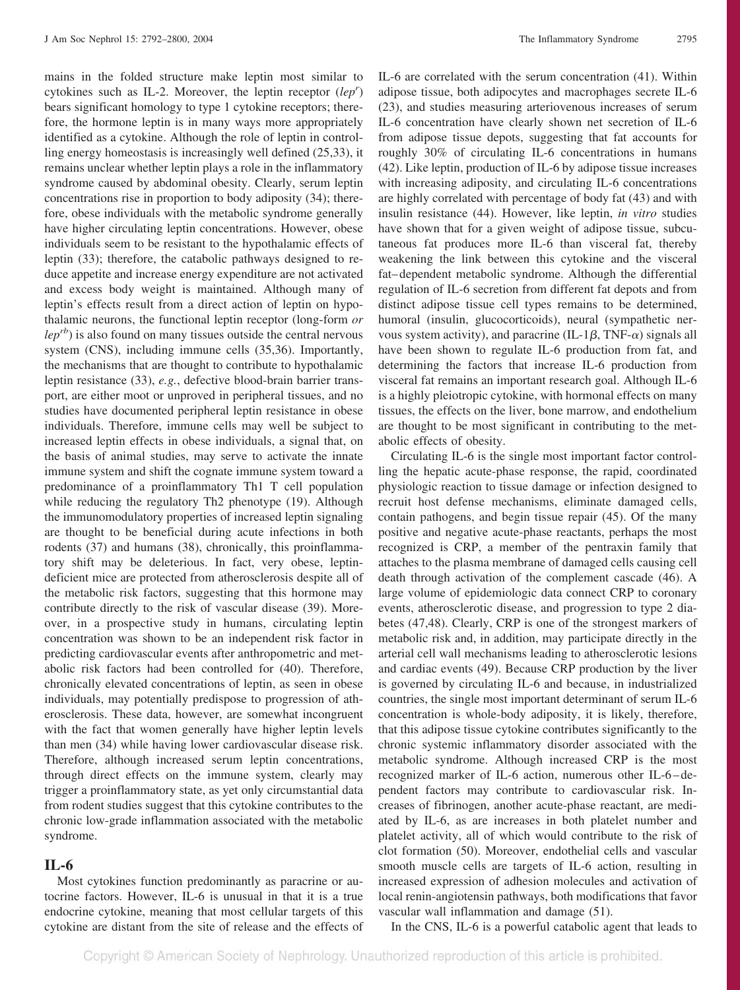mains in the folded structure make leptin most similar to cytokines such as IL-2. Moreover, the leptin receptor (lep') bears significant homology to type 1 cytokine receptors; therefore, the hormone leptin is in many ways more appropriately identified as a cytokine. Although the role of leptin in controlling energy homeostasis is increasingly well defined (25,33), it remains unclear whether leptin plays a role in the inflammatory syndrome caused by abdominal obesity. Clearly, serum leptin concentrations rise in proportion to body adiposity (34); therefore, obese individuals with the metabolic syndrome generally have higher circulating leptin concentrations. However, obese individuals seem to be resistant to the hypothalamic effects of leptin (33); therefore, the catabolic pathways designed to reduce appetite and increase energy expenditure are not activated and excess body weight is maintained. Although many of leptin's effects result from a direct action of leptin on hypothalamic neurons, the functional leptin receptor (long-form *or*  $\ell e p^{rb}$ ) is also found on many tissues outside the central nervous system (CNS), including immune cells (35,36). Importantly, the mechanisms that are thought to contribute to hypothalamic leptin resistance (33), *e.g.*, defective blood-brain barrier transport, are either moot or unproved in peripheral tissues, and no studies have documented peripheral leptin resistance in obese individuals. Therefore, immune cells may well be subject to increased leptin effects in obese individuals, a signal that, on the basis of animal studies, may serve to activate the innate immune system and shift the cognate immune system toward a predominance of a proinflammatory Th1 T cell population while reducing the regulatory Th2 phenotype (19). Although the immunomodulatory properties of increased leptin signaling are thought to be beneficial during acute infections in both rodents (37) and humans (38), chronically, this proinflammatory shift may be deleterious. In fact, very obese, leptindeficient mice are protected from atherosclerosis despite all of the metabolic risk factors, suggesting that this hormone may contribute directly to the risk of vascular disease (39). Moreover, in a prospective study in humans, circulating leptin concentration was shown to be an independent risk factor in predicting cardiovascular events after anthropometric and metabolic risk factors had been controlled for (40). Therefore, chronically elevated concentrations of leptin, as seen in obese individuals, may potentially predispose to progression of atherosclerosis. These data, however, are somewhat incongruent with the fact that women generally have higher leptin levels than men (34) while having lower cardiovascular disease risk. Therefore, although increased serum leptin concentrations, through direct effects on the immune system, clearly may trigger a proinflammatory state, as yet only circumstantial data from rodent studies suggest that this cytokine contributes to the chronic low-grade inflammation associated with the metabolic syndrome.

# **IL-6**

Most cytokines function predominantly as paracrine or autocrine factors. However, IL-6 is unusual in that it is a true endocrine cytokine, meaning that most cellular targets of this cytokine are distant from the site of release and the effects of IL-6 are correlated with the serum concentration (41). Within adipose tissue, both adipocytes and macrophages secrete IL-6 (23), and studies measuring arteriovenous increases of serum IL-6 concentration have clearly shown net secretion of IL-6 from adipose tissue depots, suggesting that fat accounts for roughly 30% of circulating IL-6 concentrations in humans (42). Like leptin, production of IL-6 by adipose tissue increases with increasing adiposity, and circulating IL-6 concentrations are highly correlated with percentage of body fat (43) and with insulin resistance (44). However, like leptin, *in vitro* studies have shown that for a given weight of adipose tissue, subcutaneous fat produces more IL-6 than visceral fat, thereby weakening the link between this cytokine and the visceral fat– dependent metabolic syndrome. Although the differential regulation of IL-6 secretion from different fat depots and from distinct adipose tissue cell types remains to be determined, humoral (insulin, glucocorticoids), neural (sympathetic nervous system activity), and paracrine (IL-1 $\beta$ , TNF- $\alpha$ ) signals all have been shown to regulate IL-6 production from fat, and determining the factors that increase IL-6 production from visceral fat remains an important research goal. Although IL-6 is a highly pleiotropic cytokine, with hormonal effects on many tissues, the effects on the liver, bone marrow, and endothelium are thought to be most significant in contributing to the metabolic effects of obesity.

Circulating IL-6 is the single most important factor controlling the hepatic acute-phase response, the rapid, coordinated physiologic reaction to tissue damage or infection designed to recruit host defense mechanisms, eliminate damaged cells, contain pathogens, and begin tissue repair (45). Of the many positive and negative acute-phase reactants, perhaps the most recognized is CRP, a member of the pentraxin family that attaches to the plasma membrane of damaged cells causing cell death through activation of the complement cascade (46). A large volume of epidemiologic data connect CRP to coronary events, atherosclerotic disease, and progression to type 2 diabetes (47,48). Clearly, CRP is one of the strongest markers of metabolic risk and, in addition, may participate directly in the arterial cell wall mechanisms leading to atherosclerotic lesions and cardiac events (49). Because CRP production by the liver is governed by circulating IL-6 and because, in industrialized countries, the single most important determinant of serum IL-6 concentration is whole-body adiposity, it is likely, therefore, that this adipose tissue cytokine contributes significantly to the chronic systemic inflammatory disorder associated with the metabolic syndrome. Although increased CRP is the most recognized marker of IL-6 action, numerous other IL-6 – dependent factors may contribute to cardiovascular risk. Increases of fibrinogen, another acute-phase reactant, are mediated by IL-6, as are increases in both platelet number and platelet activity, all of which would contribute to the risk of clot formation (50). Moreover, endothelial cells and vascular smooth muscle cells are targets of IL-6 action, resulting in increased expression of adhesion molecules and activation of local renin-angiotensin pathways, both modifications that favor vascular wall inflammation and damage (51).

In the CNS, IL-6 is a powerful catabolic agent that leads to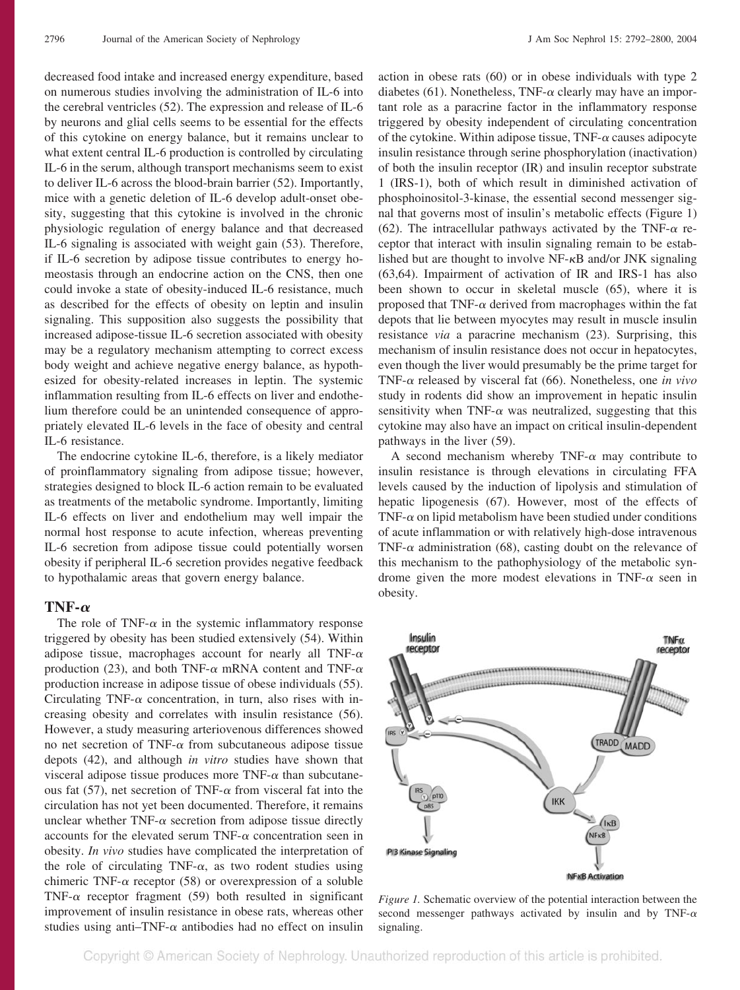decreased food intake and increased energy expenditure, based on numerous studies involving the administration of IL-6 into the cerebral ventricles (52). The expression and release of IL-6 by neurons and glial cells seems to be essential for the effects of this cytokine on energy balance, but it remains unclear to what extent central IL-6 production is controlled by circulating IL-6 in the serum, although transport mechanisms seem to exist to deliver IL-6 across the blood-brain barrier (52). Importantly, mice with a genetic deletion of IL-6 develop adult-onset obesity, suggesting that this cytokine is involved in the chronic physiologic regulation of energy balance and that decreased IL-6 signaling is associated with weight gain (53). Therefore, if IL-6 secretion by adipose tissue contributes to energy homeostasis through an endocrine action on the CNS, then one could invoke a state of obesity-induced IL-6 resistance, much as described for the effects of obesity on leptin and insulin signaling. This supposition also suggests the possibility that increased adipose-tissue IL-6 secretion associated with obesity may be a regulatory mechanism attempting to correct excess body weight and achieve negative energy balance, as hypothesized for obesity-related increases in leptin. The systemic inflammation resulting from IL-6 effects on liver and endothelium therefore could be an unintended consequence of appropriately elevated IL-6 levels in the face of obesity and central IL-6 resistance.

The endocrine cytokine IL-6, therefore, is a likely mediator of proinflammatory signaling from adipose tissue; however, strategies designed to block IL-6 action remain to be evaluated as treatments of the metabolic syndrome. Importantly, limiting IL-6 effects on liver and endothelium may well impair the normal host response to acute infection, whereas preventing IL-6 secretion from adipose tissue could potentially worsen obesity if peripheral IL-6 secretion provides negative feedback to hypothalamic areas that govern energy balance.

## **TNF-** $\alpha$

The role of TNF- $\alpha$  in the systemic inflammatory response triggered by obesity has been studied extensively (54). Within adipose tissue, macrophages account for nearly all TNF- $\alpha$ production (23), and both TNF- $\alpha$  mRNA content and TNF- $\alpha$ production increase in adipose tissue of obese individuals (55). Circulating TNF- $\alpha$  concentration, in turn, also rises with increasing obesity and correlates with insulin resistance (56). However, a study measuring arteriovenous differences showed no net secretion of TNF- $\alpha$  from subcutaneous adipose tissue depots (42), and although *in vitro* studies have shown that visceral adipose tissue produces more TNF- $\alpha$  than subcutaneous fat (57), net secretion of TNF- $\alpha$  from visceral fat into the circulation has not yet been documented. Therefore, it remains unclear whether TNF- $\alpha$  secretion from adipose tissue directly accounts for the elevated serum TNF- $\alpha$  concentration seen in obesity. *In vivo* studies have complicated the interpretation of the role of circulating TNF- $\alpha$ , as two rodent studies using chimeric TNF- $\alpha$  receptor (58) or overexpression of a soluble TNF- $\alpha$  receptor fragment (59) both resulted in significant improvement of insulin resistance in obese rats, whereas other studies using anti-TNF- $\alpha$  antibodies had no effect on insulin action in obese rats (60) or in obese individuals with type 2 diabetes (61). Nonetheless, TNF- $\alpha$  clearly may have an important role as a paracrine factor in the inflammatory response triggered by obesity independent of circulating concentration of the cytokine. Within adipose tissue,  $TNF-\alpha$  causes adipocyte insulin resistance through serine phosphorylation (inactivation) of both the insulin receptor (IR) and insulin receptor substrate 1 (IRS-1), both of which result in diminished activation of phosphoinositol-3-kinase, the essential second messenger signal that governs most of insulin's metabolic effects (Figure 1) (62). The intracellular pathways activated by the TNF- $\alpha$  receptor that interact with insulin signaling remain to be established but are thought to involve  $NF-\kappa B$  and/or JNK signaling (63,64). Impairment of activation of IR and IRS-1 has also been shown to occur in skeletal muscle (65), where it is proposed that TNF- $\alpha$  derived from macrophages within the fat depots that lie between myocytes may result in muscle insulin resistance *via* a paracrine mechanism (23). Surprising, this mechanism of insulin resistance does not occur in hepatocytes, even though the liver would presumably be the prime target for TNF- $\alpha$  released by visceral fat (66). Nonetheless, one *in vivo* study in rodents did show an improvement in hepatic insulin sensitivity when TNF- $\alpha$  was neutralized, suggesting that this cytokine may also have an impact on critical insulin-dependent pathways in the liver (59).

A second mechanism whereby TNF- $\alpha$  may contribute to insulin resistance is through elevations in circulating FFA levels caused by the induction of lipolysis and stimulation of hepatic lipogenesis (67). However, most of the effects of TNF- $\alpha$  on lipid metabolism have been studied under conditions of acute inflammation or with relatively high-dose intravenous TNF- $\alpha$  administration (68), casting doubt on the relevance of this mechanism to the pathophysiology of the metabolic syndrome given the more modest elevations in TNF- $\alpha$  seen in obesity.



*Figure 1.* Schematic overview of the potential interaction between the second messenger pathways activated by insulin and by TNF- $\alpha$ signaling.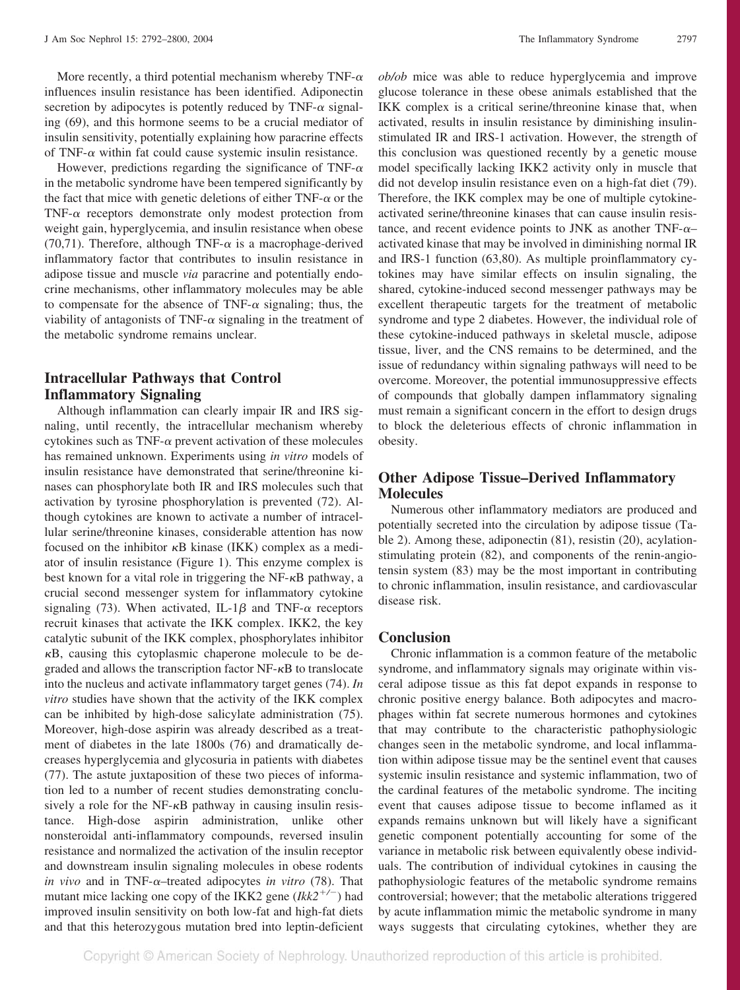More recently, a third potential mechanism whereby TNF- $\alpha$ influences insulin resistance has been identified. Adiponectin secretion by adipocytes is potently reduced by TNF- $\alpha$  signaling (69), and this hormone seems to be a crucial mediator of insulin sensitivity, potentially explaining how paracrine effects of TNF- $\alpha$  within fat could cause systemic insulin resistance.

However, predictions regarding the significance of TNF- $\alpha$ in the metabolic syndrome have been tempered significantly by the fact that mice with genetic deletions of either TNF- $\alpha$  or the TNF- $\alpha$  receptors demonstrate only modest protection from weight gain, hyperglycemia, and insulin resistance when obese (70,71). Therefore, although TNF- $\alpha$  is a macrophage-derived inflammatory factor that contributes to insulin resistance in adipose tissue and muscle *via* paracrine and potentially endocrine mechanisms, other inflammatory molecules may be able to compensate for the absence of TNF- $\alpha$  signaling; thus, the viability of antagonists of TNF- $\alpha$  signaling in the treatment of the metabolic syndrome remains unclear.

## **Intracellular Pathways that Control Inflammatory Signaling**

Although inflammation can clearly impair IR and IRS signaling, until recently, the intracellular mechanism whereby cytokines such as TNF- $\alpha$  prevent activation of these molecules has remained unknown. Experiments using *in vitro* models of insulin resistance have demonstrated that serine/threonine kinases can phosphorylate both IR and IRS molecules such that activation by tyrosine phosphorylation is prevented (72). Although cytokines are known to activate a number of intracellular serine/threonine kinases, considerable attention has now focused on the inhibitor  $\kappa$ B kinase (IKK) complex as a mediator of insulin resistance (Figure 1). This enzyme complex is best known for a vital role in triggering the  $NF$ - $\kappa$ B pathway, a crucial second messenger system for inflammatory cytokine signaling (73). When activated, IL-1 $\beta$  and TNF- $\alpha$  receptors recruit kinases that activate the IKK complex. IKK2, the key catalytic subunit of the IKK complex, phosphorylates inhibitor  $\kappa$ B, causing this cytoplasmic chaperone molecule to be degraded and allows the transcription factor  $NF - \kappa B$  to translocate into the nucleus and activate inflammatory target genes (74). *In vitro* studies have shown that the activity of the IKK complex can be inhibited by high-dose salicylate administration (75). Moreover, high-dose aspirin was already described as a treatment of diabetes in the late 1800s (76) and dramatically decreases hyperglycemia and glycosuria in patients with diabetes (77). The astute juxtaposition of these two pieces of information led to a number of recent studies demonstrating conclusively a role for the  $NF-\kappa B$  pathway in causing insulin resistance. High-dose aspirin administration, unlike other nonsteroidal anti-inflammatory compounds, reversed insulin resistance and normalized the activation of the insulin receptor and downstream insulin signaling molecules in obese rodents *in vivo* and in TNF- $\alpha$ -treated adipocytes *in vitro* (78). That mutant mice lacking one copy of the IKK2 gene  $(Ikk2^{+/-})$  had improved insulin sensitivity on both low-fat and high-fat diets and that this heterozygous mutation bred into leptin-deficient *ob/ob* mice was able to reduce hyperglycemia and improve glucose tolerance in these obese animals established that the IKK complex is a critical serine/threonine kinase that, when activated, results in insulin resistance by diminishing insulinstimulated IR and IRS-1 activation. However, the strength of this conclusion was questioned recently by a genetic mouse model specifically lacking IKK2 activity only in muscle that did not develop insulin resistance even on a high-fat diet (79). Therefore, the IKK complex may be one of multiple cytokineactivated serine/threonine kinases that can cause insulin resistance, and recent evidence points to JNK as another TNF- $\alpha$ – activated kinase that may be involved in diminishing normal IR and IRS-1 function (63,80). As multiple proinflammatory cytokines may have similar effects on insulin signaling, the shared, cytokine-induced second messenger pathways may be excellent therapeutic targets for the treatment of metabolic syndrome and type 2 diabetes. However, the individual role of these cytokine-induced pathways in skeletal muscle, adipose tissue, liver, and the CNS remains to be determined, and the issue of redundancy within signaling pathways will need to be overcome. Moreover, the potential immunosuppressive effects of compounds that globally dampen inflammatory signaling must remain a significant concern in the effort to design drugs to block the deleterious effects of chronic inflammation in obesity.

## **Other Adipose Tissue–Derived Inflammatory Molecules**

Numerous other inflammatory mediators are produced and potentially secreted into the circulation by adipose tissue (Table 2). Among these, adiponectin (81), resistin (20), acylationstimulating protein (82), and components of the renin-angiotensin system (83) may be the most important in contributing to chronic inflammation, insulin resistance, and cardiovascular disease risk.

### **Conclusion**

Chronic inflammation is a common feature of the metabolic syndrome, and inflammatory signals may originate within visceral adipose tissue as this fat depot expands in response to chronic positive energy balance. Both adipocytes and macrophages within fat secrete numerous hormones and cytokines that may contribute to the characteristic pathophysiologic changes seen in the metabolic syndrome, and local inflammation within adipose tissue may be the sentinel event that causes systemic insulin resistance and systemic inflammation, two of the cardinal features of the metabolic syndrome. The inciting event that causes adipose tissue to become inflamed as it expands remains unknown but will likely have a significant genetic component potentially accounting for some of the variance in metabolic risk between equivalently obese individuals. The contribution of individual cytokines in causing the pathophysiologic features of the metabolic syndrome remains controversial; however; that the metabolic alterations triggered by acute inflammation mimic the metabolic syndrome in many ways suggests that circulating cytokines, whether they are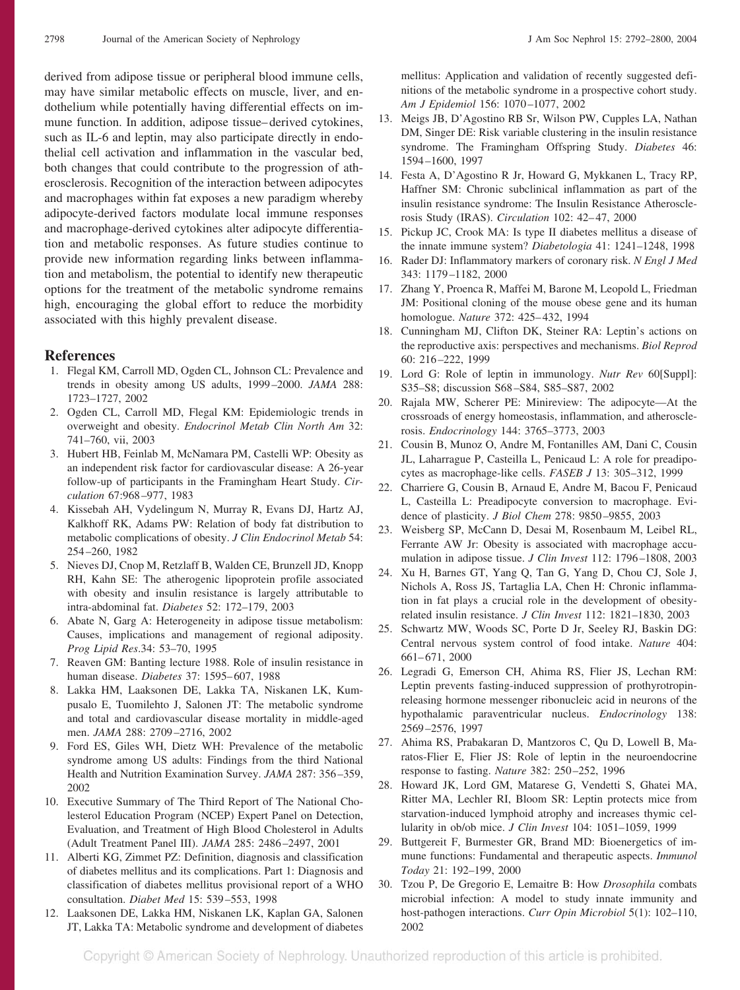derived from adipose tissue or peripheral blood immune cells, may have similar metabolic effects on muscle, liver, and endothelium while potentially having differential effects on immune function. In addition, adipose tissue– derived cytokines, such as IL-6 and leptin, may also participate directly in endothelial cell activation and inflammation in the vascular bed, both changes that could contribute to the progression of atherosclerosis. Recognition of the interaction between adipocytes and macrophages within fat exposes a new paradigm whereby adipocyte-derived factors modulate local immune responses and macrophage-derived cytokines alter adipocyte differentiation and metabolic responses. As future studies continue to provide new information regarding links between inflammation and metabolism, the potential to identify new therapeutic options for the treatment of the metabolic syndrome remains high, encouraging the global effort to reduce the morbidity associated with this highly prevalent disease.

#### **References**

- 1. Flegal KM, Carroll MD, Ogden CL, Johnson CL: Prevalence and trends in obesity among US adults, 1999 –2000. *JAMA* 288: 1723–1727, 2002
- 2. Ogden CL, Carroll MD, Flegal KM: Epidemiologic trends in overweight and obesity. *Endocrinol Metab Clin North Am* 32: 741–760, vii, 2003
- 3. Hubert HB, Feinlab M, McNamara PM, Castelli WP: Obesity as an independent risk factor for cardiovascular disease: A 26-year follow-up of participants in the Framingham Heart Study. *Circulation* 67:968 –977, 1983
- 4. Kissebah AH, Vydelingum N, Murray R, Evans DJ, Hartz AJ, Kalkhoff RK, Adams PW: Relation of body fat distribution to metabolic complications of obesity. *J Clin Endocrinol Metab* 54: 254 –260, 1982
- 5. Nieves DJ, Cnop M, Retzlaff B, Walden CE, Brunzell JD, Knopp RH, Kahn SE: The atherogenic lipoprotein profile associated with obesity and insulin resistance is largely attributable to intra-abdominal fat. *Diabetes* 52: 172–179, 2003
- 6. Abate N, Garg A: Heterogeneity in adipose tissue metabolism: Causes, implications and management of regional adiposity. *Prog Lipid Res*.34: 53–70, 1995
- 7. Reaven GM: Banting lecture 1988. Role of insulin resistance in human disease. *Diabetes* 37: 1595– 607, 1988
- 8. Lakka HM, Laaksonen DE, Lakka TA, Niskanen LK, Kumpusalo E, Tuomilehto J, Salonen JT: The metabolic syndrome and total and cardiovascular disease mortality in middle-aged men. *JAMA* 288: 2709 –2716, 2002
- 9. Ford ES, Giles WH, Dietz WH: Prevalence of the metabolic syndrome among US adults: Findings from the third National Health and Nutrition Examination Survey. *JAMA* 287: 356 –359, 2002
- 10. Executive Summary of The Third Report of The National Cholesterol Education Program (NCEP) Expert Panel on Detection, Evaluation, and Treatment of High Blood Cholesterol in Adults (Adult Treatment Panel III). *JAMA* 285: 2486 –2497, 2001
- 11. Alberti KG, Zimmet PZ: Definition, diagnosis and classification of diabetes mellitus and its complications. Part 1: Diagnosis and classification of diabetes mellitus provisional report of a WHO consultation. *Diabet Med* 15: 539 –553, 1998
- 12. Laaksonen DE, Lakka HM, Niskanen LK, Kaplan GA, Salonen JT, Lakka TA: Metabolic syndrome and development of diabetes

mellitus: Application and validation of recently suggested definitions of the metabolic syndrome in a prospective cohort study. *Am J Epidemiol* 156: 1070 –1077, 2002

- 13. Meigs JB, D'Agostino RB Sr, Wilson PW, Cupples LA, Nathan DM, Singer DE: Risk variable clustering in the insulin resistance syndrome. The Framingham Offspring Study. *Diabetes* 46: 1594 –1600, 1997
- 14. Festa A, D'Agostino R Jr, Howard G, Mykkanen L, Tracy RP, Haffner SM: Chronic subclinical inflammation as part of the insulin resistance syndrome: The Insulin Resistance Atherosclerosis Study (IRAS). *Circulation* 102: 42– 47, 2000
- 15. Pickup JC, Crook MA: Is type II diabetes mellitus a disease of the innate immune system? *Diabetologia* 41: 1241–1248, 1998
- 16. Rader DJ: Inflammatory markers of coronary risk. *N Engl J Med* 343: 1179 –1182, 2000
- 17. Zhang Y, Proenca R, Maffei M, Barone M, Leopold L, Friedman JM: Positional cloning of the mouse obese gene and its human homologue. *Nature* 372: 425– 432, 1994
- 18. Cunningham MJ, Clifton DK, Steiner RA: Leptin's actions on the reproductive axis: perspectives and mechanisms. *Biol Reprod* 60: 216 –222, 1999
- 19. Lord G: Role of leptin in immunology. *Nutr Rev* 60[Suppl]: S35–S8; discussion S68 –S84, S85–S87, 2002
- 20. Rajala MW, Scherer PE: Minireview: The adipocyte—At the crossroads of energy homeostasis, inflammation, and atherosclerosis. *Endocrinology* 144: 3765–3773, 2003
- 21. Cousin B, Munoz O, Andre M, Fontanilles AM, Dani C, Cousin JL, Laharrague P, Casteilla L, Penicaud L: A role for preadipocytes as macrophage-like cells. *FASEB J* 13: 305–312, 1999
- 22. Charriere G, Cousin B, Arnaud E, Andre M, Bacou F, Penicaud L, Casteilla L: Preadipocyte conversion to macrophage. Evidence of plasticity. *J Biol Chem* 278: 9850 –9855, 2003
- 23. Weisberg SP, McCann D, Desai M, Rosenbaum M, Leibel RL, Ferrante AW Jr: Obesity is associated with macrophage accumulation in adipose tissue. *J Clin Invest* 112: 1796 –1808, 2003
- 24. Xu H, Barnes GT, Yang Q, Tan G, Yang D, Chou CJ, Sole J, Nichols A, Ross JS, Tartaglia LA, Chen H: Chronic inflammation in fat plays a crucial role in the development of obesityrelated insulin resistance. *J Clin Invest* 112: 1821–1830, 2003
- 25. Schwartz MW, Woods SC, Porte D Jr, Seeley RJ, Baskin DG: Central nervous system control of food intake. *Nature* 404: 661– 671, 2000
- 26. Legradi G, Emerson CH, Ahima RS, Flier JS, Lechan RM: Leptin prevents fasting-induced suppression of prothyrotropinreleasing hormone messenger ribonucleic acid in neurons of the hypothalamic paraventricular nucleus. *Endocrinology* 138: 2569 –2576, 1997
- 27. Ahima RS, Prabakaran D, Mantzoros C, Qu D, Lowell B, Maratos-Flier E, Flier JS: Role of leptin in the neuroendocrine response to fasting. *Nature* 382: 250 –252, 1996
- 28. Howard JK, Lord GM, Matarese G, Vendetti S, Ghatei MA, Ritter MA, Lechler RI, Bloom SR: Leptin protects mice from starvation-induced lymphoid atrophy and increases thymic cellularity in ob/ob mice. *J Clin Invest* 104: 1051–1059, 1999
- 29. Buttgereit F, Burmester GR, Brand MD: Bioenergetics of immune functions: Fundamental and therapeutic aspects. *Immunol Today* 21: 192–199, 2000
- 30. Tzou P, De Gregorio E, Lemaitre B: How *Drosophila* combats microbial infection: A model to study innate immunity and host-pathogen interactions. *Curr Opin Microbiol* 5(1): 102–110, 2002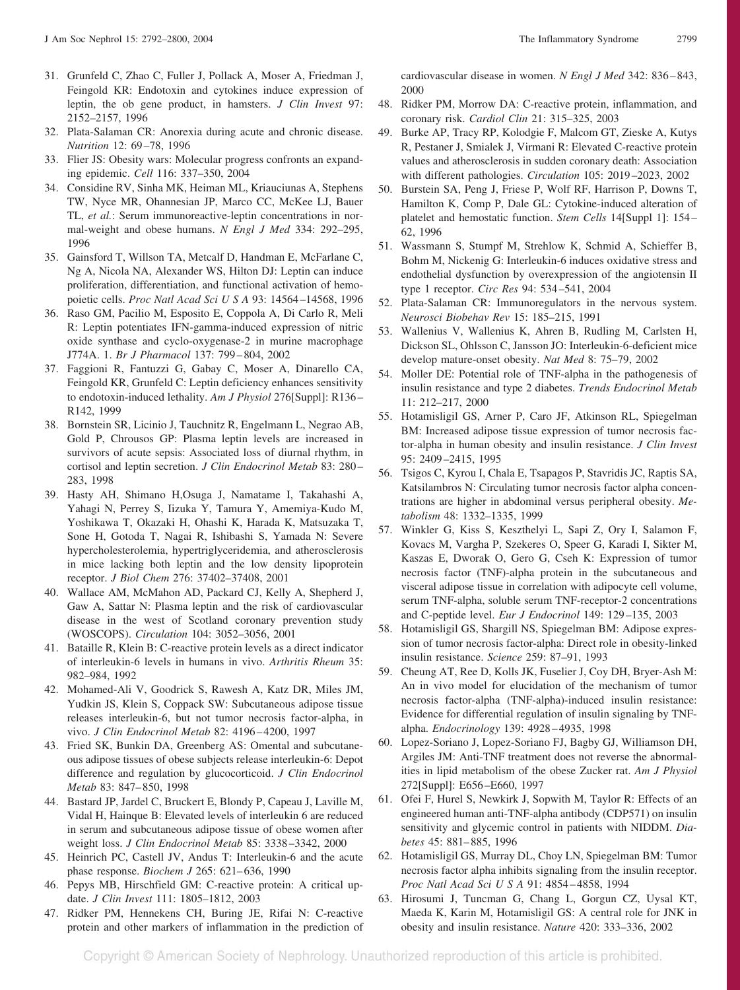- 31. Grunfeld C, Zhao C, Fuller J, Pollack A, Moser A, Friedman J, Feingold KR: Endotoxin and cytokines induce expression of leptin, the ob gene product, in hamsters. *J Clin Invest* 97: 2152–2157, 1996
- 32. Plata-Salaman CR: Anorexia during acute and chronic disease. *Nutrition* 12: 69 –78, 1996
- 33. Flier JS: Obesity wars: Molecular progress confronts an expanding epidemic. *Cell* 116: 337–350, 2004
- 34. Considine RV, Sinha MK, Heiman ML, Kriauciunas A, Stephens TW, Nyce MR, Ohannesian JP, Marco CC, McKee LJ, Bauer TL, *et al.*: Serum immunoreactive-leptin concentrations in normal-weight and obese humans. *N Engl J Med* 334: 292–295, 1996
- 35. Gainsford T, Willson TA, Metcalf D, Handman E, McFarlane C, Ng A, Nicola NA, Alexander WS, Hilton DJ: Leptin can induce proliferation, differentiation, and functional activation of hemopoietic cells. *Proc Natl Acad Sci U S A* 93: 14564 –14568, 1996
- 36. Raso GM, Pacilio M, Esposito E, Coppola A, Di Carlo R, Meli R: Leptin potentiates IFN-gamma-induced expression of nitric oxide synthase and cyclo-oxygenase-2 in murine macrophage J774A. 1. *Br J Pharmacol* 137: 799 – 804, 2002
- 37. Faggioni R, Fantuzzi G, Gabay C, Moser A, Dinarello CA, Feingold KR, Grunfeld C: Leptin deficiency enhances sensitivity to endotoxin-induced lethality. *Am J Physiol* 276[Suppl]: R136 – R142, 1999
- 38. Bornstein SR, Licinio J, Tauchnitz R, Engelmann L, Negrao AB, Gold P, Chrousos GP: Plasma leptin levels are increased in survivors of acute sepsis: Associated loss of diurnal rhythm, in cortisol and leptin secretion. *J Clin Endocrinol Metab* 83: 280 – 283, 1998
- 39. Hasty AH, Shimano H,Osuga J, Namatame I, Takahashi A, Yahagi N, Perrey S, Iizuka Y, Tamura Y, Amemiya-Kudo M, Yoshikawa T, Okazaki H, Ohashi K, Harada K, Matsuzaka T, Sone H, Gotoda T, Nagai R, Ishibashi S, Yamada N: Severe hypercholesterolemia, hypertriglyceridemia, and atherosclerosis in mice lacking both leptin and the low density lipoprotein receptor. *J Biol Chem* 276: 37402–37408, 2001
- 40. Wallace AM, McMahon AD, Packard CJ, Kelly A, Shepherd J, Gaw A, Sattar N: Plasma leptin and the risk of cardiovascular disease in the west of Scotland coronary prevention study (WOSCOPS). *Circulation* 104: 3052–3056, 2001
- 41. Bataille R, Klein B: C-reactive protein levels as a direct indicator of interleukin-6 levels in humans in vivo. *Arthritis Rheum* 35: 982–984, 1992
- 42. Mohamed-Ali V, Goodrick S, Rawesh A, Katz DR, Miles JM, Yudkin JS, Klein S, Coppack SW: Subcutaneous adipose tissue releases interleukin-6, but not tumor necrosis factor-alpha, in vivo. *J Clin Endocrinol Metab* 82: 4196 – 4200, 1997
- 43. Fried SK, Bunkin DA, Greenberg AS: Omental and subcutaneous adipose tissues of obese subjects release interleukin-6: Depot difference and regulation by glucocorticoid. *J Clin Endocrinol Metab* 83: 847– 850, 1998
- 44. Bastard JP, Jardel C, Bruckert E, Blondy P, Capeau J, Laville M, Vidal H, Hainque B: Elevated levels of interleukin 6 are reduced in serum and subcutaneous adipose tissue of obese women after weight loss. *J Clin Endocrinol Metab* 85: 3338 –3342, 2000
- 45. Heinrich PC, Castell JV, Andus T: Interleukin-6 and the acute phase response. *Biochem J* 265: 621– 636, 1990
- 46. Pepys MB, Hirschfield GM: C-reactive protein: A critical update. *J Clin Invest* 111: 1805–1812, 2003
- 47. Ridker PM, Hennekens CH, Buring JE, Rifai N: C-reactive protein and other markers of inflammation in the prediction of

cardiovascular disease in women. *N Engl J Med* 342: 836 – 843, 2000

- 48. Ridker PM, Morrow DA: C-reactive protein, inflammation, and coronary risk. *Cardiol Clin* 21: 315–325, 2003
- 49. Burke AP, Tracy RP, Kolodgie F, Malcom GT, Zieske A, Kutys R, Pestaner J, Smialek J, Virmani R: Elevated C-reactive protein values and atherosclerosis in sudden coronary death: Association with different pathologies. *Circulation* 105: 2019 –2023, 2002
- 50. Burstein SA, Peng J, Friese P, Wolf RF, Harrison P, Downs T, Hamilton K, Comp P, Dale GL: Cytokine-induced alteration of platelet and hemostatic function. *Stem Cells* 14[Suppl 1]: 154 – 62, 1996
- 51. Wassmann S, Stumpf M, Strehlow K, Schmid A, Schieffer B, Bohm M, Nickenig G: Interleukin-6 induces oxidative stress and endothelial dysfunction by overexpression of the angiotensin II type 1 receptor. *Circ Res* 94: 534 –541, 2004
- 52. Plata-Salaman CR: Immunoregulators in the nervous system. *Neurosci Biobehav Rev* 15: 185–215, 1991
- 53. Wallenius V, Wallenius K, Ahren B, Rudling M, Carlsten H, Dickson SL, Ohlsson C, Jansson JO: Interleukin-6-deficient mice develop mature-onset obesity. *Nat Med* 8: 75–79, 2002
- 54. Moller DE: Potential role of TNF-alpha in the pathogenesis of insulin resistance and type 2 diabetes. *Trends Endocrinol Metab* 11: 212–217, 2000
- 55. Hotamisligil GS, Arner P, Caro JF, Atkinson RL, Spiegelman BM: Increased adipose tissue expression of tumor necrosis factor-alpha in human obesity and insulin resistance. *J Clin Invest* 95: 2409 –2415, 1995
- 56. Tsigos C, Kyrou I, Chala E, Tsapagos P, Stavridis JC, Raptis SA, Katsilambros N: Circulating tumor necrosis factor alpha concentrations are higher in abdominal versus peripheral obesity. *Metabolism* 48: 1332–1335, 1999
- 57. Winkler G, Kiss S, Keszthelyi L, Sapi Z, Ory I, Salamon F, Kovacs M, Vargha P, Szekeres O, Speer G, Karadi I, Sikter M, Kaszas E, Dworak O, Gero G, Cseh K: Expression of tumor necrosis factor (TNF)-alpha protein in the subcutaneous and visceral adipose tissue in correlation with adipocyte cell volume, serum TNF-alpha, soluble serum TNF-receptor-2 concentrations and C-peptide level. *Eur J Endocrinol* 149: 129 –135, 2003
- 58. Hotamisligil GS, Shargill NS, Spiegelman BM: Adipose expression of tumor necrosis factor-alpha: Direct role in obesity-linked insulin resistance. *Science* 259: 87–91, 1993
- 59. Cheung AT, Ree D, Kolls JK, Fuselier J, Coy DH, Bryer-Ash M: An in vivo model for elucidation of the mechanism of tumor necrosis factor-alpha (TNF-alpha)-induced insulin resistance: Evidence for differential regulation of insulin signaling by TNFalpha. *Endocrinology* 139: 4928 – 4935, 1998
- 60. Lopez-Soriano J, Lopez-Soriano FJ, Bagby GJ, Williamson DH, Argiles JM: Anti-TNF treatment does not reverse the abnormalities in lipid metabolism of the obese Zucker rat. *Am J Physiol* 272[Suppl]: E656 –E660, 1997
- 61. Ofei F, Hurel S, Newkirk J, Sopwith M, Taylor R: Effects of an engineered human anti-TNF-alpha antibody (CDP571) on insulin sensitivity and glycemic control in patients with NIDDM. *Diabetes* 45: 881– 885, 1996
- 62. Hotamisligil GS, Murray DL, Choy LN, Spiegelman BM: Tumor necrosis factor alpha inhibits signaling from the insulin receptor. *Proc Natl Acad SciUSA* 91: 4854 – 4858, 1994
- 63. Hirosumi J, Tuncman G, Chang L, Gorgun CZ, Uysal KT, Maeda K, Karin M, Hotamisligil GS: A central role for JNK in obesity and insulin resistance. *Nature* 420: 333–336, 2002